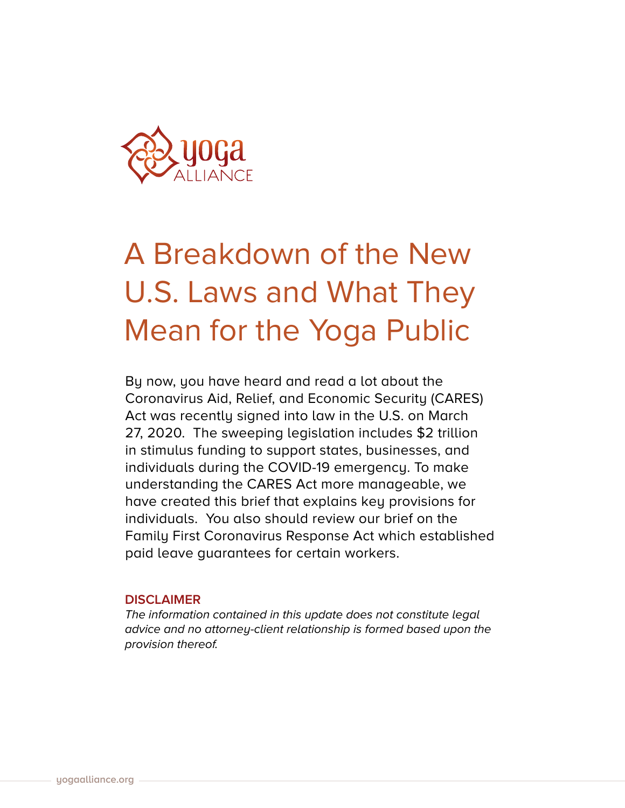

# A Breakdown of the New U.S. Laws and What They Mean for the Yoga Public

By now, you have heard and read a lot about the Coronavirus Aid, Relief, and Economic Security (CARES) Act was recently signed into law in the U.S. on March 27, 2020. The sweeping legislation includes \$2 trillion in stimulus funding to support states, businesses, and individuals during the COVID-19 emergency. To make understanding the CARES Act more manageable, we have created this brief that explains key provisions for individuals. You also should review our brief on the Family First Coronavirus Response Act which established paid leave guarantees for certain workers.

## **DISCLAIMER**

*The information contained in this update does not constitute legal advice and no attorney-client relationship is formed based upon the provision thereof.*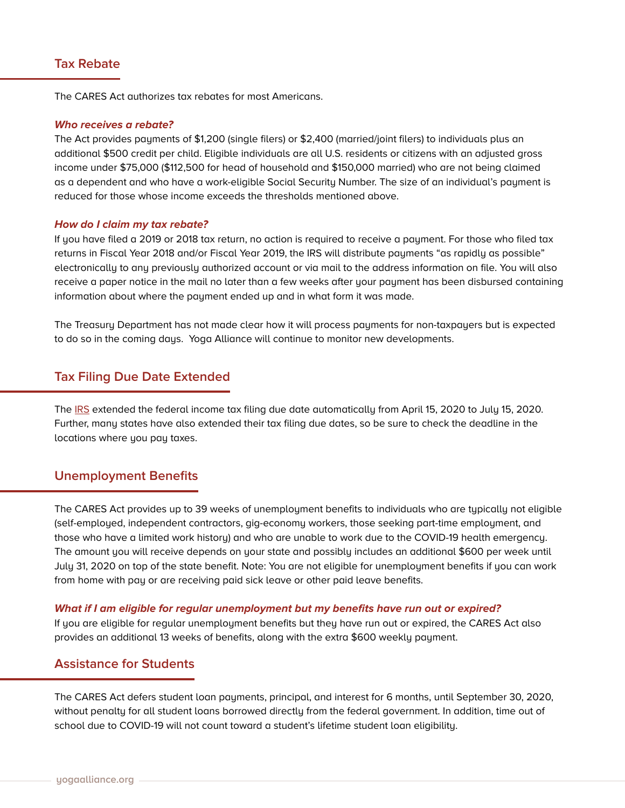# **Tax Rebate**

The CARES Act authorizes tax rebates for most Americans.

#### **Who receives a rebate?**

The Act provides payments of \$1,200 (single filers) or \$2,400 (married/joint filers) to individuals plus an additional \$500 credit per child. Eligible individuals are all U.S. residents or citizens with an adjusted gross income under \$75,000 (\$112,500 for head of household and \$150,000 married) who are not being claimed as a dependent and who have a work-eligible Social Security Number. The size of an individual's payment is reduced for those whose income exceeds the thresholds mentioned above.

#### **How do I claim my tax rebate?**

If you have filed a 2019 or 2018 tax return, no action is required to receive a payment. For those who filed tax returns in Fiscal Year 2018 and/or Fiscal Year 2019, the IRS will distribute payments "as rapidly as possible" electronically to any previously authorized account or via mail to the address information on file. You will also receive a paper notice in the mail no later than a few weeks after your payment has been disbursed containing information about where the payment ended up and in what form it was made.

The Treasury Department has not made clear how it will process payments for non-taxpayers but is expected to do so in the coming days. Yoga Alliance will continue to monitor new developments.

## **Tax Filing Due Date Extended**

The [IRS](https://www.irs.gov/newsroom/tax-day-now-july-15-treasury-irs-extend-filing-deadline-and-federal-tax-payments-regardless-of-amount-owed) extended the federal income tax filing due date automatically from April 15, 2020 to July 15, 2020. Further, many states have also extended their tax filing due dates, so be sure to check the deadline in the locations where you pay taxes.

#### **Unemployment Benefits**

The CARES Act provides up to 39 weeks of unemployment benefits to individuals who are typically not eligible (self-employed, independent contractors, gig-economy workers, those seeking part-time employment, and those who have a limited work history) and who are unable to work due to the COVID-19 health emergency. The amount you will receive depends on your state and possibly includes an additional \$600 per week until July 31, 2020 on top of the state benefit. Note: You are not eligible for unemployment benefits if you can work from home with pay or are receiving paid sick leave or other paid leave benefits.

#### **What if I am eligible for regular unemployment but my benefits have run out or expired?**

If you are eligible for regular unemployment benefits but they have run out or expired, the CARES Act also provides an additional 13 weeks of benefits, along with the extra \$600 weekly payment.

## **Assistance for Students**

The CARES Act defers student loan payments, principal, and interest for 6 months, until September 30, 2020, without penalty for all student loans borrowed directly from the federal government. In addition, time out of school due to COVID-19 will not count toward a student's lifetime student loan eligibility.